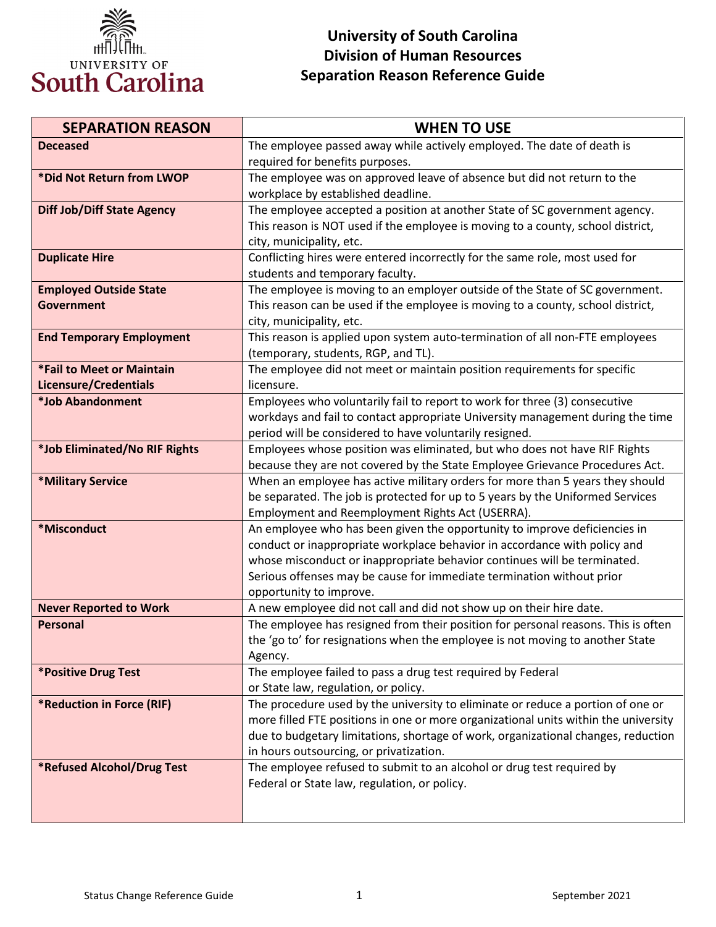

## **University of South Carolina Division of Human Resources Separation Reason Reference Guide**

| <b>SEPARATION REASON</b>                  | <b>WHEN TO USE</b>                                                                                                                        |
|-------------------------------------------|-------------------------------------------------------------------------------------------------------------------------------------------|
| <b>Deceased</b>                           | The employee passed away while actively employed. The date of death is                                                                    |
|                                           | required for benefits purposes.                                                                                                           |
| *Did Not Return from LWOP                 | The employee was on approved leave of absence but did not return to the                                                                   |
|                                           | workplace by established deadline.                                                                                                        |
| <b>Diff Job/Diff State Agency</b>         | The employee accepted a position at another State of SC government agency.                                                                |
|                                           | This reason is NOT used if the employee is moving to a county, school district,                                                           |
|                                           | city, municipality, etc.                                                                                                                  |
| <b>Duplicate Hire</b>                     | Conflicting hires were entered incorrectly for the same role, most used for                                                               |
|                                           | students and temporary faculty.                                                                                                           |
| <b>Employed Outside State</b>             | The employee is moving to an employer outside of the State of SC government.                                                              |
| <b>Government</b>                         | This reason can be used if the employee is moving to a county, school district,                                                           |
|                                           | city, municipality, etc.                                                                                                                  |
| <b>End Temporary Employment</b>           | This reason is applied upon system auto-termination of all non-FTE employees                                                              |
|                                           | (temporary, students, RGP, and TL).                                                                                                       |
| *Fail to Meet or Maintain                 | The employee did not meet or maintain position requirements for specific                                                                  |
| Licensure/Credentials<br>*Job Abandonment | licensure.                                                                                                                                |
|                                           | Employees who voluntarily fail to report to work for three (3) consecutive                                                                |
|                                           | workdays and fail to contact appropriate University management during the time<br>period will be considered to have voluntarily resigned. |
| *Job Eliminated/No RIF Rights             | Employees whose position was eliminated, but who does not have RIF Rights                                                                 |
|                                           | because they are not covered by the State Employee Grievance Procedures Act.                                                              |
| *Military Service                         | When an employee has active military orders for more than 5 years they should                                                             |
|                                           | be separated. The job is protected for up to 5 years by the Uniformed Services                                                            |
|                                           | Employment and Reemployment Rights Act (USERRA).                                                                                          |
| *Misconduct                               | An employee who has been given the opportunity to improve deficiencies in                                                                 |
|                                           | conduct or inappropriate workplace behavior in accordance with policy and                                                                 |
|                                           | whose misconduct or inappropriate behavior continues will be terminated.                                                                  |
|                                           | Serious offenses may be cause for immediate termination without prior                                                                     |
|                                           | opportunity to improve.                                                                                                                   |
| <b>Never Reported to Work</b>             | A new employee did not call and did not show up on their hire date.                                                                       |
| <b>Personal</b>                           | The employee has resigned from their position for personal reasons. This is often                                                         |
|                                           | the 'go to' for resignations when the employee is not moving to another State                                                             |
|                                           | Agency.                                                                                                                                   |
| *Positive Drug Test                       | The employee failed to pass a drug test required by Federal                                                                               |
|                                           | or State law, regulation, or policy.                                                                                                      |
| *Reduction in Force (RIF)                 | The procedure used by the university to eliminate or reduce a portion of one or                                                           |
|                                           | more filled FTE positions in one or more organizational units within the university                                                       |
|                                           | due to budgetary limitations, shortage of work, organizational changes, reduction                                                         |
|                                           | in hours outsourcing, or privatization.                                                                                                   |
| *Refused Alcohol/Drug Test                | The employee refused to submit to an alcohol or drug test required by                                                                     |
|                                           | Federal or State law, regulation, or policy.                                                                                              |
|                                           |                                                                                                                                           |